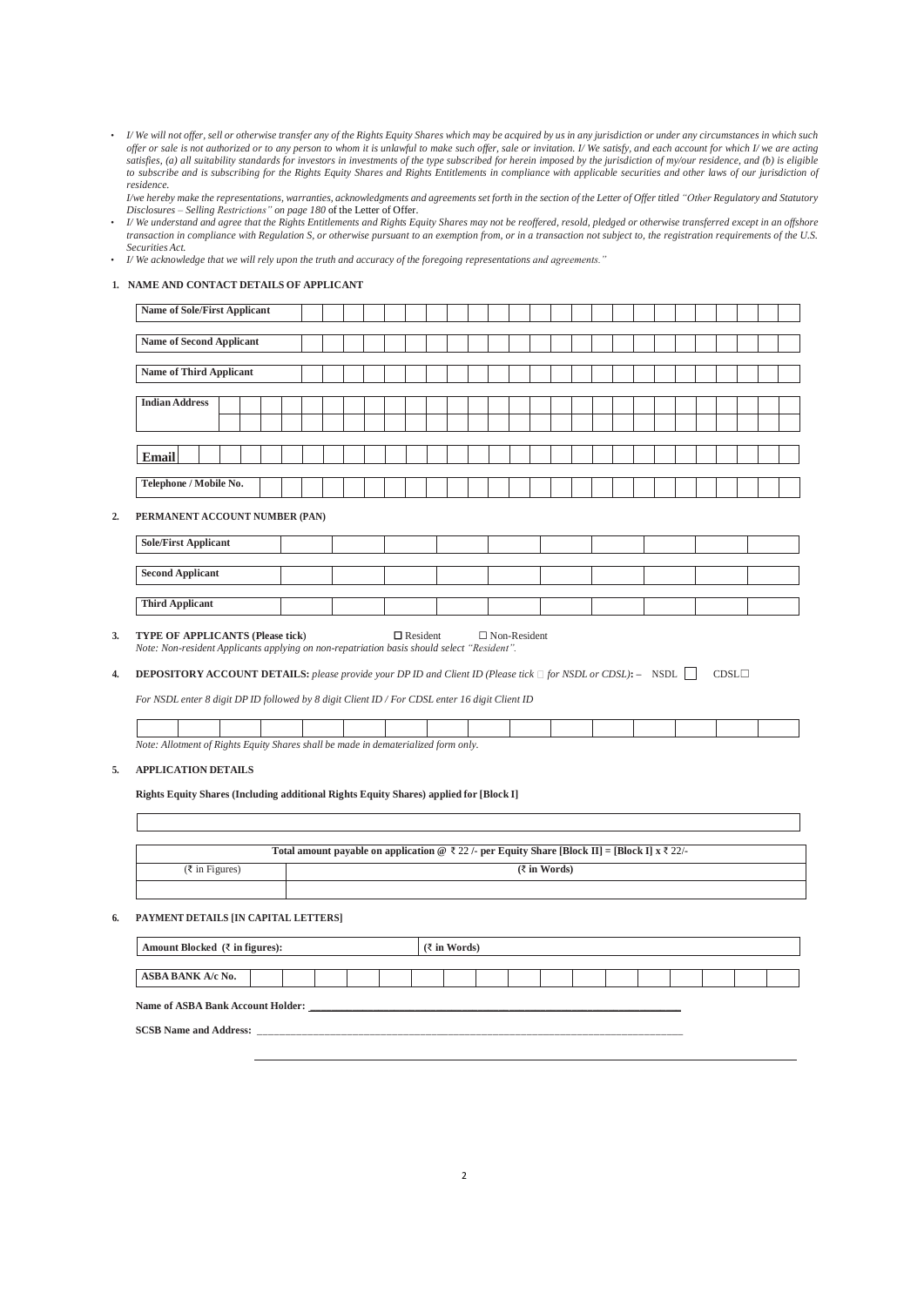· I/ We will not offer, sell or otherwise transfer any of the Rights Equity Shares which may be acquired by us in any jurisdiction or under any circumstances in which such offer or sale is not authorized or to any person to whom it is unlawful to make such offer, sale or invitation. I/ We satisfy, and each account for which I/ we are acting satisfies, (a) all suitability standards for investors in investments of the type subscribed for herein imposed by the jurisdiction of my/our residence, and (b) is eligible to subscribe and is subscribing for the Rights Equity Shares and Rights Entitlements in compliance with applicable securities and other laws of our jurisdiction of *residence.*

I/we hereby make the representations, warranties, acknowledgments and agreements set forth in the section of the Letter of Offer titled "Other Regulatory and Statutory

Disclosures – Selling Restrictions" on page 180 of the Letter of Offer.<br>• I/ We understand and agree that the Rights Entitlements and Rights Equity Shares may not be reoffered, resold, pledged or otherwise transferred exce transaction in compliance with Regulation S, or otherwise pursuant to an exemption from, or in a transaction not subject to, the registration requirements of the U.S. *Securities Act.*

• *I/ We acknowledge that we will rely upon the truth and accuracy of the foregoing representations and agreements."*

### **1. NAME AND CONTACT DETAILS OF APPLICANT**

| Name of Sole/First Applicant    |  |  |  |  |  |  |  |  |  |  |  |  |  |
|---------------------------------|--|--|--|--|--|--|--|--|--|--|--|--|--|
| <b>Name of Second Applicant</b> |  |  |  |  |  |  |  |  |  |  |  |  |  |
| Name of Third Applicant         |  |  |  |  |  |  |  |  |  |  |  |  |  |
| <b>Indian Address</b>           |  |  |  |  |  |  |  |  |  |  |  |  |  |
| <b>Email</b>                    |  |  |  |  |  |  |  |  |  |  |  |  |  |
| Telephone / Mobile No.          |  |  |  |  |  |  |  |  |  |  |  |  |  |
| PERMANENT ACCOUNT NUMBER (PAN)  |  |  |  |  |  |  |  |  |  |  |  |  |  |
| <b>Sole/First Applicant</b>     |  |  |  |  |  |  |  |  |  |  |  |  |  |
| <b>Second Applicant</b>         |  |  |  |  |  |  |  |  |  |  |  |  |  |
| <b>Third Applicant</b>          |  |  |  |  |  |  |  |  |  |  |  |  |  |

- **3. TYPE OF APPLICANTS (Please tick)** □ Resident □ Non-Resident *Note: Non-resident Applicants applying on non-repatriation basis should select "Resident".*
- 4. **DEPOSITORY ACCOUNT DETAILS:** please provide your DP ID and Client ID (Please tick  $\Box$  for NSDL or CDSL): NSDL  $\Box$  CDSL $\Box$

For NSDL enter 8 digit DP ID followed by 8 digit Client ID / For CDSL enter 16 digit Client ID

| Note: | y Sharer<br>shall be<br>$\epsilon$ auth<br><i>dematerial</i><br>mad <sub>r</sub><br>ont<br>Rights<br>,Ilotmer |  |  |  |  |  |  |  |  |  |  |  |  |
|-------|---------------------------------------------------------------------------------------------------------------|--|--|--|--|--|--|--|--|--|--|--|--|

### **5. APPLICATION DETAILS**

**Rights Equity Shares (Including additional Rights Equity Shares) applied for [Block I]**

| Total amount payable on application $\circledcirc \neq 22$ /- per Equity Share [Block II] = [Block I] x $\xi$ 22/- |                     |  |  |  |  |  |  |  |  |
|--------------------------------------------------------------------------------------------------------------------|---------------------|--|--|--|--|--|--|--|--|
| $(\xi$ in Figures)                                                                                                 | $(3 \infty)$ Words) |  |  |  |  |  |  |  |  |
|                                                                                                                    |                     |  |  |  |  |  |  |  |  |

**6. PAYMENT DETAILS [IN CAPITAL LETTERS]**

| Amount Blocked $(\bar{z}$ in figures):   | $(3 \in Words)$ |  |  |  |  |  |  |  |  |  |  |  |  |  |  |  |  |
|------------------------------------------|-----------------|--|--|--|--|--|--|--|--|--|--|--|--|--|--|--|--|
| ASBA BANK A/c No.                        |                 |  |  |  |  |  |  |  |  |  |  |  |  |  |  |  |  |
|                                          |                 |  |  |  |  |  |  |  |  |  |  |  |  |  |  |  |  |
| <b>Name of ASBA Bank Account Holder:</b> |                 |  |  |  |  |  |  |  |  |  |  |  |  |  |  |  |  |

**SCSB Name and Address:** \_\_\_\_\_\_\_\_\_\_\_\_\_\_\_\_\_\_\_\_\_\_\_\_\_\_\_\_\_\_\_\_\_\_\_\_\_\_\_\_\_\_\_\_\_\_\_\_\_\_\_\_\_\_\_\_\_\_\_\_\_\_\_\_\_\_\_\_\_\_\_\_\_\_\_\_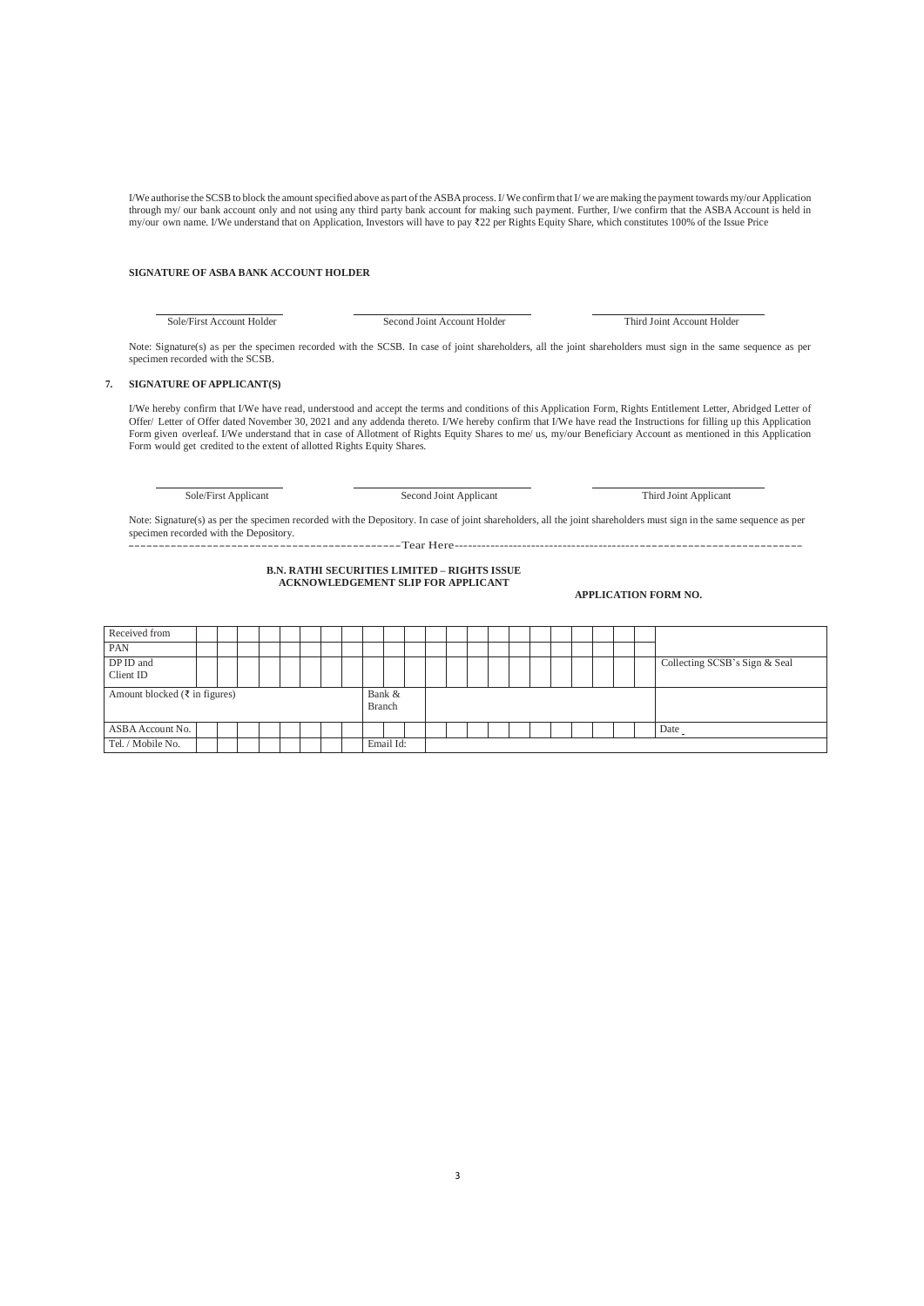I/We authorise the SCSB to block the amount specified above as part of the ASBA process. I/We confirm that I/we are making the payment towards my/our Application<br>through my/ our bank account only and not using any third p

## **SIGNATURE OF ASBA BANK ACCOUNT HOLDER**

Sole/First Account Holder Second Joint Account Holder Third Joint Account Holder

Note: Signature(s) as per the specimen recorded with the SCSB. In case of joint shareholders, all the joint shareholders must sign in the same sequence as per specimen recorded with the SCSB.

# **7. SIGNATURE OF APPLICANT(S)**

I/We hereby confirm that I/We have read, understood and accept the terms and conditions of this Application Form, Rights Entitlement Letter, Abridged Letter of Offer/ Letter of Offer dated November 30, 2021 and any addenda thereto. I/We hereby confirm that I/We have read the Instructions for filling up this Application Form given overleaf. I/We understand that in case of Allotment of Rights Equity Shares to me/ us, my/our Beneficiary Account as mentioned in this Application Form would get credited to the extent of allotted Rights Equity Shares.

Sole/First Applicant Second Joint Applicant Third Joint Applicant Third Joint Applicant

Note: Signature(s) as per the specimen recorded with the Depository. In case of joint shareholders, all the joint shareholders must sign in the same sequence as per specimen recorded with the Depository.

---------------------------------------------Tear Here--------------------------------------------------------------------

### **B.N. RATHI SECURITIES LIMITED – RIGHTS ISSUE ACKNOWLEDGEMENT SLIP FOR APPLICANT**

 **APPLICATION FORM NO.**

| Received from                             |  |  |  |  |  |               |        |  |           |  |  |  |  |  |  |                               |
|-------------------------------------------|--|--|--|--|--|---------------|--------|--|-----------|--|--|--|--|--|--|-------------------------------|
| PAN                                       |  |  |  |  |  |               |        |  |           |  |  |  |  |  |  |                               |
| DP ID and                                 |  |  |  |  |  |               |        |  |           |  |  |  |  |  |  | Collecting SCSB's Sign & Seal |
| Client ID                                 |  |  |  |  |  |               |        |  |           |  |  |  |  |  |  |                               |
| Amount blocked ( $\bar{\tau}$ in figures) |  |  |  |  |  | <b>Branch</b> | Bank & |  |           |  |  |  |  |  |  |                               |
| ASBA Account No.                          |  |  |  |  |  |               |        |  |           |  |  |  |  |  |  | Date                          |
| Tel. / Mobile No.                         |  |  |  |  |  |               |        |  | Email Id: |  |  |  |  |  |  |                               |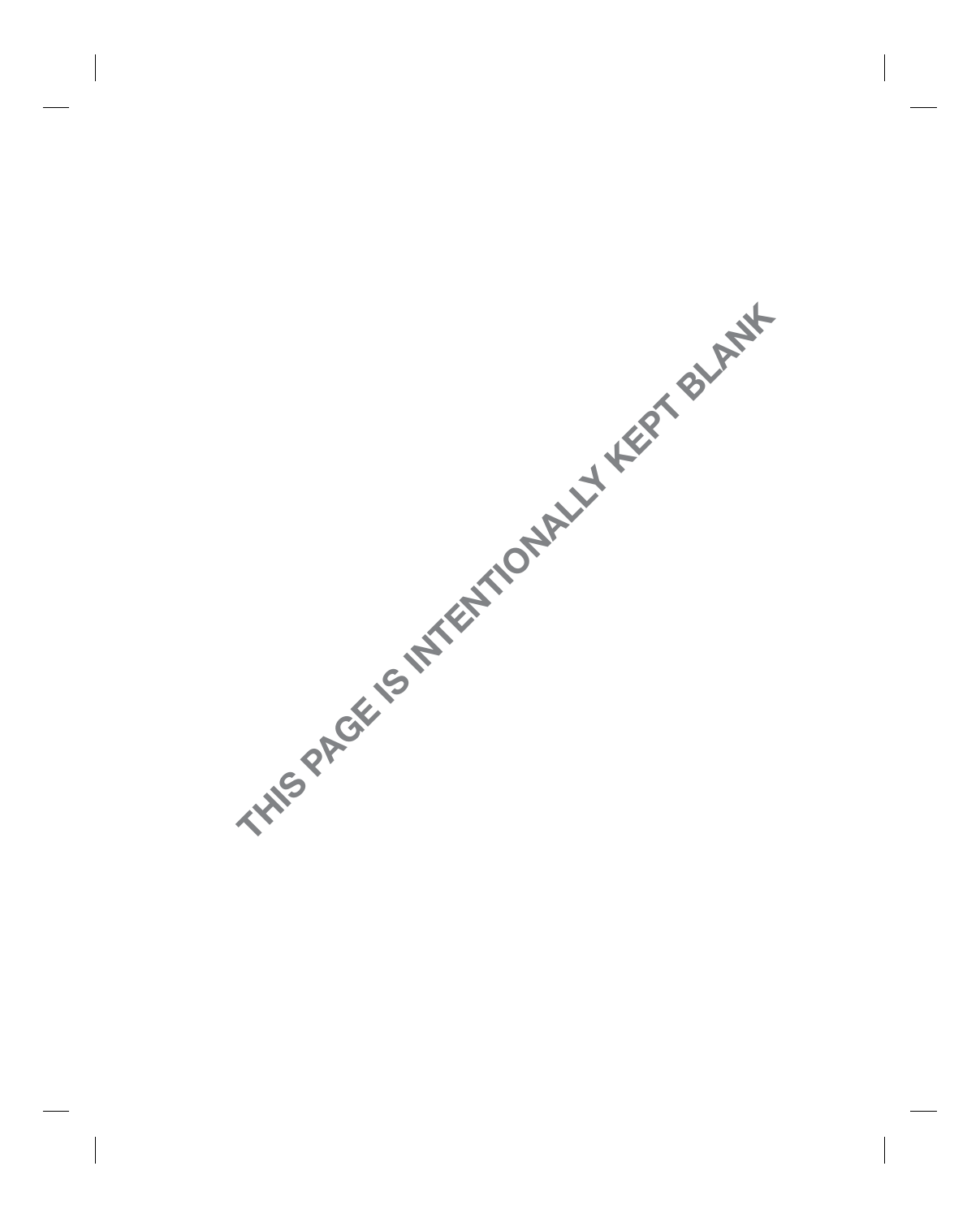THIS PAGE IS INTENTIONALLY KEPT BLANK

 $\overline{\phantom{a}}$ 

 $\mathcal{L}_{\mathcal{A}}$ 

 $\overline{a}$